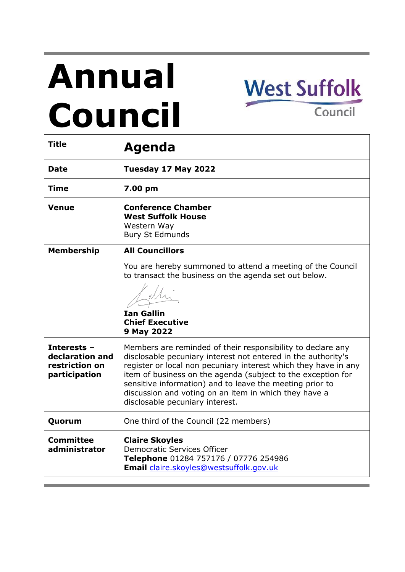# **Annual Council**



| <b>Title</b>                                                      | <b>Agenda</b>                                                                                                                                                                                                                                                                                                                                                                                                           |
|-------------------------------------------------------------------|-------------------------------------------------------------------------------------------------------------------------------------------------------------------------------------------------------------------------------------------------------------------------------------------------------------------------------------------------------------------------------------------------------------------------|
| <b>Date</b>                                                       | Tuesday 17 May 2022                                                                                                                                                                                                                                                                                                                                                                                                     |
| <b>Time</b>                                                       | 7.00 pm                                                                                                                                                                                                                                                                                                                                                                                                                 |
| Venue                                                             | <b>Conference Chamber</b><br><b>West Suffolk House</b><br>Western Way<br><b>Bury St Edmunds</b>                                                                                                                                                                                                                                                                                                                         |
| <b>Membership</b>                                                 | <b>All Councillors</b>                                                                                                                                                                                                                                                                                                                                                                                                  |
|                                                                   | You are hereby summoned to attend a meeting of the Council<br>to transact the business on the agenda set out below.<br><b>Ian Gallin</b><br><b>Chief Executive</b><br>9 May 2022                                                                                                                                                                                                                                        |
| Interests -<br>declaration and<br>restriction on<br>participation | Members are reminded of their responsibility to declare any<br>disclosable pecuniary interest not entered in the authority's<br>register or local non pecuniary interest which they have in any<br>item of business on the agenda (subject to the exception for<br>sensitive information) and to leave the meeting prior to<br>discussion and voting on an item in which they have a<br>disclosable pecuniary interest. |
| Quorum                                                            | One third of the Council (22 members)                                                                                                                                                                                                                                                                                                                                                                                   |
| <b>Committee</b><br>administrator                                 | <b>Claire Skoyles</b><br><b>Democratic Services Officer</b><br>Telephone 01284 757176 / 07776 254986<br>Email claire.skoyles@westsuffolk.gov.uk                                                                                                                                                                                                                                                                         |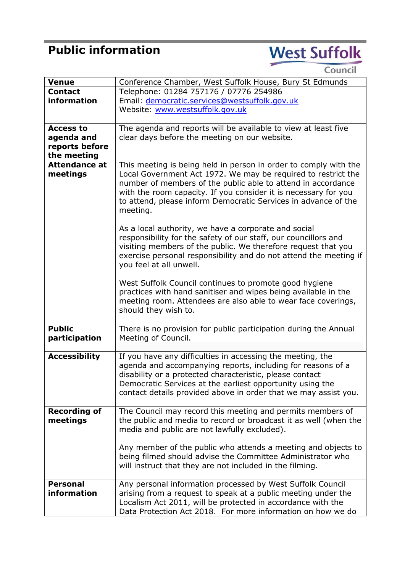## **Public information**

## West Suffolk

| <b>Venue</b>         | Conference Chamber, West Suffolk House, Bury St Edmunds           |
|----------------------|-------------------------------------------------------------------|
| <b>Contact</b>       | Telephone: 01284 757176 / 07776 254986                            |
| information          | Email: democratic.services@westsuffolk.gov.uk                     |
|                      | Website: www.westsuffolk.gov.uk                                   |
|                      |                                                                   |
| <b>Access to</b>     | The agenda and reports will be available to view at least five    |
| agenda and           | clear days before the meeting on our website.                     |
| reports before       |                                                                   |
| the meeting          |                                                                   |
| <b>Attendance at</b> | This meeting is being held in person in order to comply with the  |
| meetings             | Local Government Act 1972. We may be required to restrict the     |
|                      | number of members of the public able to attend in accordance      |
|                      | with the room capacity. If you consider it is necessary for you   |
|                      | to attend, please inform Democratic Services in advance of the    |
|                      | meeting.                                                          |
|                      |                                                                   |
|                      | As a local authority, we have a corporate and social              |
|                      | responsibility for the safety of our staff, our councillors and   |
|                      | visiting members of the public. We therefore request that you     |
|                      | exercise personal responsibility and do not attend the meeting if |
|                      | you feel at all unwell.                                           |
|                      |                                                                   |
|                      | West Suffolk Council continues to promote good hygiene            |
|                      | practices with hand sanitiser and wipes being available in the    |
|                      | meeting room. Attendees are also able to wear face coverings,     |
|                      | should they wish to.                                              |
|                      |                                                                   |
| <b>Public</b>        | There is no provision for public participation during the Annual  |
| participation        | Meeting of Council.                                               |
|                      |                                                                   |
| <b>Accessibility</b> | If you have any difficulties in accessing the meeting, the        |
|                      | agenda and accompanying reports, including for reasons of a       |
|                      | disability or a protected characteristic, please contact          |
|                      | Democratic Services at the earliest opportunity using the         |
|                      | contact details provided above in order that we may assist you.   |
|                      |                                                                   |
| <b>Recording of</b>  | The Council may record this meeting and permits members of        |
| meetings             | the public and media to record or broadcast it as well (when the  |
|                      | media and public are not lawfully excluded).                      |
|                      |                                                                   |
|                      | Any member of the public who attends a meeting and objects to     |
|                      | being filmed should advise the Committee Administrator who        |
|                      | will instruct that they are not included in the filming.          |
|                      |                                                                   |
| <b>Personal</b>      | Any personal information processed by West Suffolk Council        |
| information          | arising from a request to speak at a public meeting under the     |
|                      | Localism Act 2011, will be protected in accordance with the       |
|                      | Data Protection Act 2018. For more information on how we do       |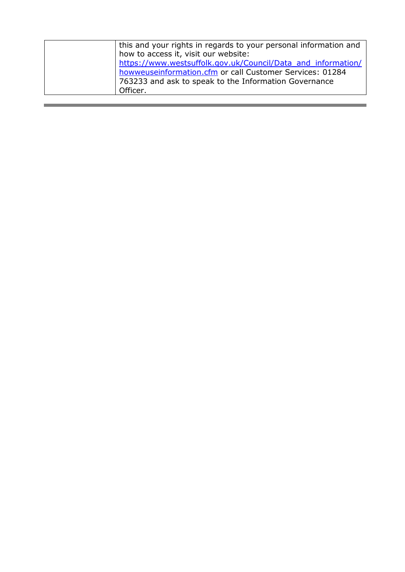| this and your rights in regards to your personal information and |
|------------------------------------------------------------------|
| how to access it, visit our website:                             |
| https://www.westsuffolk.gov.uk/Council/Data and information/     |
| howweuseinformation.cfm or call Customer Services: 01284         |
| 763233 and ask to speak to the Information Governance            |
| Officer.                                                         |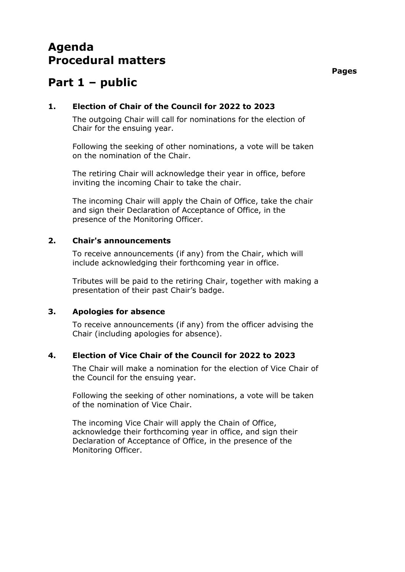### **Agenda Procedural matters**

## **Part 1 – public**

#### **1. Election of Chair of the Council for 2022 to 2023**

The outgoing Chair will call for nominations for the election of Chair for the ensuing year.

Following the seeking of other nominations, a vote will be taken on the nomination of the Chair.

The retiring Chair will acknowledge their year in office, before inviting the incoming Chair to take the chair.

The incoming Chair will apply the Chain of Office, take the chair and sign their Declaration of Acceptance of Office, in the presence of the Monitoring Officer.

#### **2. Chair's announcements**

To receive announcements (if any) from the Chair, which will include acknowledging their forthcoming year in office.

Tributes will be paid to the retiring Chair, together with making a presentation of their past Chair's badge.

#### **3. Apologies for absence**

To receive announcements (if any) from the officer advising the Chair (including apologies for absence).

#### **4. Election of Vice Chair of the Council for 2022 to 2023**

The Chair will make a nomination for the election of Vice Chair of the Council for the ensuing year.

Following the seeking of other nominations, a vote will be taken of the nomination of Vice Chair.

The incoming Vice Chair will apply the Chain of Office, acknowledge their forthcoming year in office, and sign their Declaration of Acceptance of Office, in the presence of the Monitoring Officer.